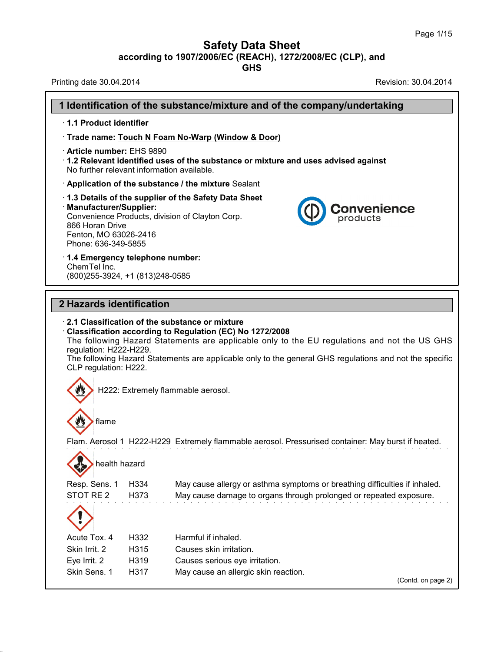### **Safety Data Sheet**

**according to 1907/2006/EC (REACH), 1272/2008/EC (CLP),and**

**GHS**

Printing date 30.04.2014 **Revision: 30.04.2014** 

38.0.33

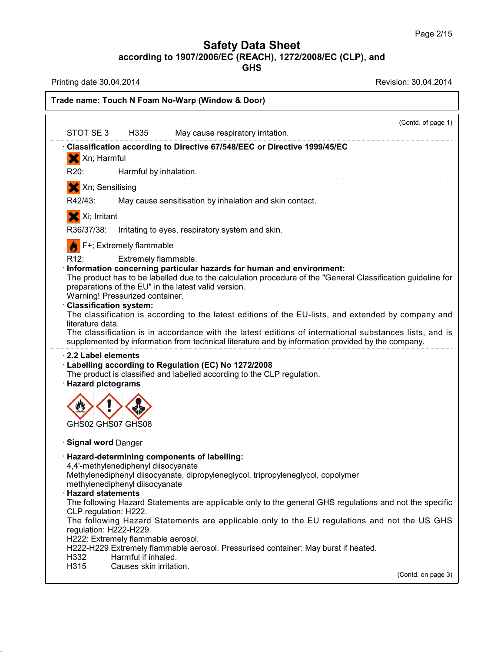**GHS**

Printing date 30.04.2014 **Revision: 30.04.2014** 

38.0.33

|                                                                                                                             |                                                                                                                                    |                                                                                                                                                                                                                                                                                                                                                                                                                                                                                                                                                                                                                                                                                                        |  | (Contd. of page 1) |
|-----------------------------------------------------------------------------------------------------------------------------|------------------------------------------------------------------------------------------------------------------------------------|--------------------------------------------------------------------------------------------------------------------------------------------------------------------------------------------------------------------------------------------------------------------------------------------------------------------------------------------------------------------------------------------------------------------------------------------------------------------------------------------------------------------------------------------------------------------------------------------------------------------------------------------------------------------------------------------------------|--|--------------------|
| STOT SE3                                                                                                                    | H335                                                                                                                               | May cause respiratory irritation.                                                                                                                                                                                                                                                                                                                                                                                                                                                                                                                                                                                                                                                                      |  |                    |
|                                                                                                                             |                                                                                                                                    | Classification according to Directive 67/548/EEC or Directive 1999/45/EC                                                                                                                                                                                                                                                                                                                                                                                                                                                                                                                                                                                                                               |  |                    |
| Xn; Harmful                                                                                                                 |                                                                                                                                    |                                                                                                                                                                                                                                                                                                                                                                                                                                                                                                                                                                                                                                                                                                        |  |                    |
| R <sub>20</sub> :                                                                                                           | Harmful by inhalation.                                                                                                             |                                                                                                                                                                                                                                                                                                                                                                                                                                                                                                                                                                                                                                                                                                        |  |                    |
| X Xn; Sensitising                                                                                                           |                                                                                                                                    |                                                                                                                                                                                                                                                                                                                                                                                                                                                                                                                                                                                                                                                                                                        |  |                    |
| R42/43:                                                                                                                     |                                                                                                                                    | May cause sensitisation by inhalation and skin contact.                                                                                                                                                                                                                                                                                                                                                                                                                                                                                                                                                                                                                                                |  |                    |
| X Xi; Irritant                                                                                                              |                                                                                                                                    |                                                                                                                                                                                                                                                                                                                                                                                                                                                                                                                                                                                                                                                                                                        |  |                    |
|                                                                                                                             |                                                                                                                                    | R36/37/38: Irritating to eyes, respiratory system and skin.                                                                                                                                                                                                                                                                                                                                                                                                                                                                                                                                                                                                                                            |  |                    |
|                                                                                                                             | F+; Extremely flammable                                                                                                            |                                                                                                                                                                                                                                                                                                                                                                                                                                                                                                                                                                                                                                                                                                        |  |                    |
| R12:<br><b>Classification system:</b><br>literature data.<br>2.2 Label elements<br>· Hazard pictograms<br>GHS02 GHS07 GHS08 | Extremely flammable.<br>Warning! Pressurized container.                                                                            | Information concerning particular hazards for human and environment:<br>The product has to be labelled due to the calculation procedure of the "General Classification guideline for<br>preparations of the EU" in the latest valid version.<br>The classification is according to the latest editions of the EU-lists, and extended by company and<br>The classification is in accordance with the latest editions of international substances lists, and is<br>supplemented by information from technical literature and by information provided by the company.<br>· Labelling according to Regulation (EC) No 1272/2008<br>The product is classified and labelled according to the CLP regulation. |  |                    |
|                                                                                                                             |                                                                                                                                    |                                                                                                                                                                                                                                                                                                                                                                                                                                                                                                                                                                                                                                                                                                        |  |                    |
| · Signal word Danger                                                                                                        |                                                                                                                                    |                                                                                                                                                                                                                                                                                                                                                                                                                                                                                                                                                                                                                                                                                                        |  |                    |
| <b>Hazard statements</b><br>CLP regulation: H222.<br>regulation: H222-H229.<br>H332                                         | 4,4'-methylenediphenyl diisocyanate<br>methylenediphenyl diisocyanate<br>H222: Extremely flammable aerosol.<br>Harmful if inhaled. | · Hazard-determining components of labelling:<br>Methylenediphenyl diisocyanate, dipropyleneglycol, tripropyleneglycol, copolymer<br>The following Hazard Statements are applicable only to the general GHS regulations and not the specific<br>The following Hazard Statements are applicable only to the EU regulations and not the US GHS<br>H222-H229 Extremely flammable aerosol. Pressurised container: May burst if heated.                                                                                                                                                                                                                                                                     |  |                    |
| H315                                                                                                                        | Causes skin irritation.                                                                                                            |                                                                                                                                                                                                                                                                                                                                                                                                                                                                                                                                                                                                                                                                                                        |  |                    |
|                                                                                                                             |                                                                                                                                    |                                                                                                                                                                                                                                                                                                                                                                                                                                                                                                                                                                                                                                                                                                        |  | (Contd. on page 3) |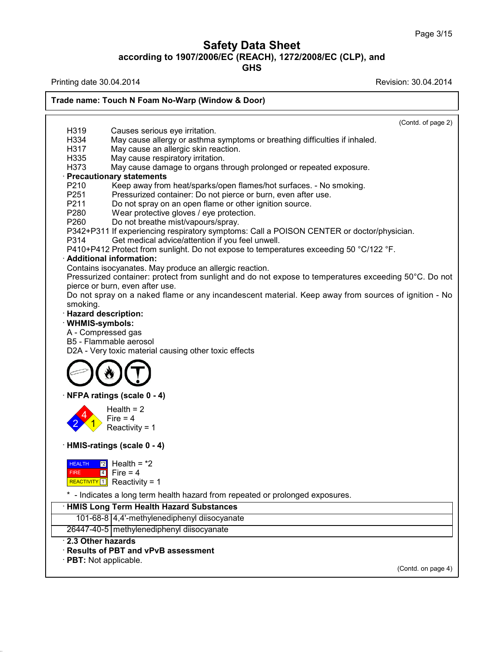## **Safety Data Sheet according to 1907/2006/EC (REACH), 1272/2008/EC (CLP),and**

**GHS**

Printing date 30.04.2014 **Revision: 30.04.2014** 

38.0.33

| H319                         | (Contd. of page 2)<br>Causes serious eye irritation.                                                                                       |
|------------------------------|--------------------------------------------------------------------------------------------------------------------------------------------|
| H334                         | May cause allergy or asthma symptoms or breathing difficulties if inhaled.                                                                 |
| H317                         | May cause an allergic skin reaction.                                                                                                       |
| H335                         | May cause respiratory irritation.                                                                                                          |
| H373                         | May cause damage to organs through prolonged or repeated exposure.                                                                         |
|                              | · Precautionary statements                                                                                                                 |
| P210                         | Keep away from heat/sparks/open flames/hot surfaces. - No smoking.                                                                         |
| P251                         | Pressurized container: Do not pierce or burn, even after use.                                                                              |
| P211                         | Do not spray on an open flame or other ignition source.                                                                                    |
| P280                         | Wear protective gloves / eye protection.                                                                                                   |
| P260                         | Do not breathe mist/vapours/spray.                                                                                                         |
|                              | P342+P311 If experiencing respiratory symptoms: Call a POISON CENTER or doctor/physician.                                                  |
| P314                         | Get medical advice/attention if you feel unwell.<br>P410+P412 Protect from sunlight. Do not expose to temperatures exceeding 50 °C/122 °F. |
|                              | · Additional information:                                                                                                                  |
|                              | Contains isocyanates. May produce an allergic reaction.                                                                                    |
|                              | Pressurized container: protect from sunlight and do not expose to temperatures exceeding 50°C. Do not                                      |
|                              | pierce or burn, even after use.                                                                                                            |
|                              | Do not spray on a naked flame or any incandescent material. Keep away from sources of ignition - No                                        |
| smoking.                     |                                                                                                                                            |
|                              | · Hazard description:                                                                                                                      |
| · WHMIS-symbols:             |                                                                                                                                            |
| A - Compressed gas           |                                                                                                                                            |
|                              | B5 - Flammable aerosol                                                                                                                     |
|                              | D2A - Very toxic material causing other toxic effects                                                                                      |
|                              |                                                                                                                                            |
|                              | · NFPA ratings (scale 0 - 4)                                                                                                               |
|                              | Health $= 2$                                                                                                                               |
|                              | Fire $= 4$                                                                                                                                 |
|                              | Reactivity = $1$                                                                                                                           |
|                              | · HMIS-ratings (scale 0 - 4)                                                                                                               |
| $\boxed{2}$<br><b>HEALTH</b> | Health = $*2$                                                                                                                              |
| <b>FIRE</b>                  | $\boxed{4}$ Fire = 4                                                                                                                       |
|                              | REACTIVITY $1$ Reactivity = 1                                                                                                              |
|                              | * - Indicates a long term health hazard from repeated or prolonged exposures.                                                              |
|                              |                                                                                                                                            |
|                              |                                                                                                                                            |
|                              | <b>HMIS Long Term Health Hazard Substances</b>                                                                                             |
|                              | 101-68-8 4,4'-methylenediphenyl diisocyanate                                                                                               |
| 2.3 Other hazards            | 26447-40-5 methylenediphenyl diisocyanate                                                                                                  |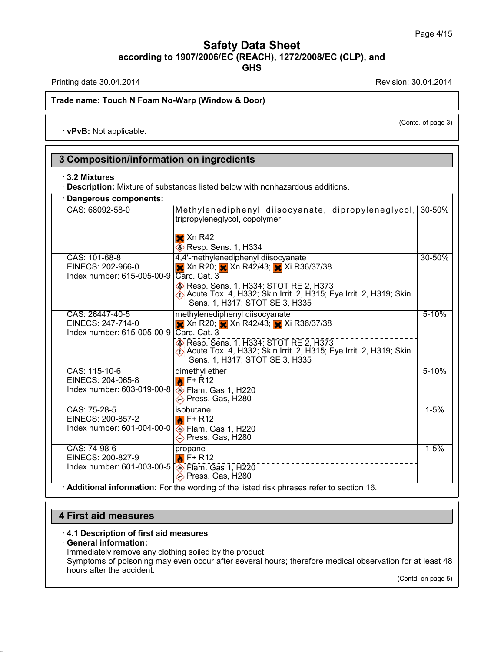Printing date 30.04.2014 **Revision: 30.04.2014** 

(Contd. of page 3)

#### **Trade name: Touch N Foam No-Warp (Window & Door)**

· **vPvB:** Not applicable.

## **3 Composition/information on ingredients**

#### · **3.2 Mixtures**

· **Description:** Mixture of substances listed below with nonhazardous additions.

| CAS: 68092-58-0                                                                            | Methylenediphenyl diisocyanate, dipropyleneglycol,<br>tripropyleneglycol, copolymer                                                         | 30-50%    |
|--------------------------------------------------------------------------------------------|---------------------------------------------------------------------------------------------------------------------------------------------|-----------|
|                                                                                            | $\mathsf{X}$ Xn R42<br>Resp. Sens. 1, H334                                                                                                  |           |
| CAS: 101-68-8<br>EINECS: 202-966-0<br>Index number: 615-005-00-9                           | 4,4'-methylenediphenyl diisocyanate<br>X Xn R20; Xn R42/43; Xi R36/37/38<br>Carc. Cat. 3                                                    | 30-50%    |
|                                                                                            | Resp. Sens. 1, H334; STOT RE 2, H373<br>Acute Tox. 4, H332; Skin Irrit. 2, H315; Eye Irrit. 2, H319; Skin<br>Sens. 1, H317; STOT SE 3, H335 |           |
| CAS: 26447-40-5<br>EINECS: 247-714-0<br>Index number: 615-005-00-9                         | methylenediphenyl diisocyanate<br>X Xn R20; X Xn R42/43; Xi R36/37/38<br>Carc. Cat. 3                                                       | $5 - 10%$ |
|                                                                                            | Resp. Sens. 1, H334; STOT RE 2, H373<br>Acute Tox. 4, H332; Skin Irrit. 2, H315; Eye Irrit. 2, H319; Skin<br>Sens. 1, H317; STOT SE 3, H335 |           |
| CAS: 115-10-6<br>EINECS: 204-065-8<br>Index number: 603-019-00-8                           | dimethyl ether<br>$\triangle$ F+ R12<br><b>Elam.</b> Gas 1, H220<br>◇ Press. Gas, H280                                                      | 5-10%     |
| CAS: 75-28-5<br>EINECS: 200-857-2<br>Index number: 601-004-00-0                            | isobutane<br>$\triangle$ F+ R12<br>$\overline{\textcircled{}}$ Flam. Gas 1, H220<br>◇ Press. Gas, H280                                      | $1 - 5%$  |
| CAS: 74-98-6<br>EINECS: 200-827-9<br>Index number: 601-003-00-5 <b>3</b> Flam. Gas 1, H220 | propane<br>$\triangle$ F+R12<br>◇ Press. Gas, H280                                                                                          | $1 - 5%$  |

### **4 First aid measures**

#### · **4.1 Description of first aid measures**

#### · **General information:**

38.0.33

Immediately remove any clothing soiled by the product.

Symptoms of poisoning may even occur after several hours; therefore medical observation for at least 48 hours after the accident.

(Contd. on page 5)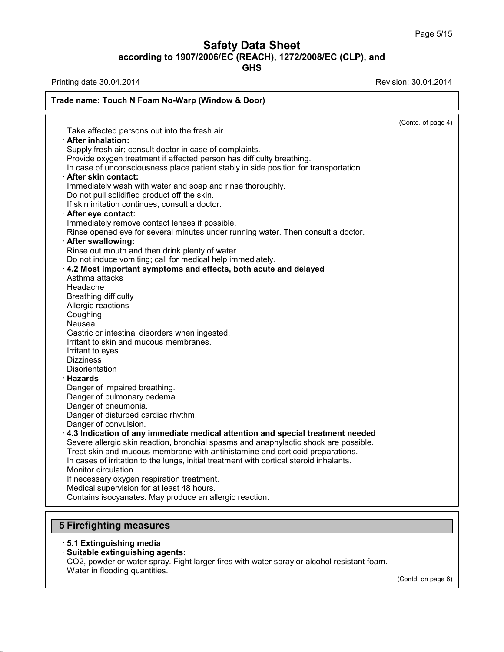**GHS**

**Trade name: Touch N Foam No-Warp (Window & Door)**

Printing date 30.04.2014 **Revision: 30.04.2014** 

|                                                                                         | (Contd. of page 4) |
|-----------------------------------------------------------------------------------------|--------------------|
| Take affected persons out into the fresh air.                                           |                    |
| · After inhalation:                                                                     |                    |
| Supply fresh air; consult doctor in case of complaints.                                 |                    |
| Provide oxygen treatment if affected person has difficulty breathing.                   |                    |
| In case of unconsciousness place patient stably in side position for transportation.    |                    |
| · After skin contact:                                                                   |                    |
| Immediately wash with water and soap and rinse thoroughly.                              |                    |
| Do not pull solidified product off the skin.                                            |                    |
| If skin irritation continues, consult a doctor.                                         |                    |
| After eye contact:                                                                      |                    |
| Immediately remove contact lenses if possible.                                          |                    |
| Rinse opened eye for several minutes under running water. Then consult a doctor.        |                    |
| · After swallowing:                                                                     |                    |
| Rinse out mouth and then drink plenty of water.                                         |                    |
| Do not induce vomiting; call for medical help immediately.                              |                    |
| 4.2 Most important symptoms and effects, both acute and delayed                         |                    |
| Asthma attacks                                                                          |                    |
| Headache                                                                                |                    |
| <b>Breathing difficulty</b>                                                             |                    |
| Allergic reactions                                                                      |                    |
| Coughing                                                                                |                    |
| Nausea                                                                                  |                    |
| Gastric or intestinal disorders when ingested.                                          |                    |
| Irritant to skin and mucous membranes.                                                  |                    |
| Irritant to eyes.                                                                       |                    |
| <b>Dizziness</b>                                                                        |                    |
| Disorientation                                                                          |                    |
|                                                                                         |                    |
| · Hazards                                                                               |                    |
| Danger of impaired breathing.                                                           |                    |
| Danger of pulmonary oedema.                                                             |                    |
| Danger of pneumonia.                                                                    |                    |
| Danger of disturbed cardiac rhythm.                                                     |                    |
| Danger of convulsion.                                                                   |                    |
| $\cdot$ 4.3 Indication of any immediate medical attention and special treatment needed  |                    |
| Severe allergic skin reaction, bronchial spasms and anaphylactic shock are possible.    |                    |
| Treat skin and mucous membrane with antihistamine and corticoid preparations.           |                    |
| In cases of irritation to the lungs, initial treatment with cortical steroid inhalants. |                    |
| Monitor circulation.                                                                    |                    |
| If necessary oxygen respiration treatment.                                              |                    |
| Medical supervision for at least 48 hours.                                              |                    |
| Contains isocyanates. May produce an allergic reaction.                                 |                    |

## **5 Firefighting measures**

### · **5.1 Extinguishing media**

38.0.33

· **Suitable extinguishing agents:**

CO2, powder or water spray. Fight larger fires with water spray or alcohol resistant foam. Water in flooding quantities.

(Contd. on page 6)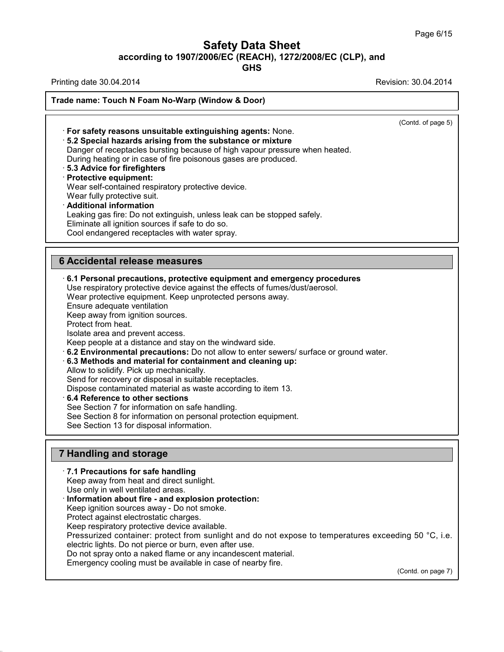**GHS**

Printing date 30.04.2014 **Revision: 30.04.2014** 

**Trade name: Touch N Foam No-Warp (Window & Door)**

(Contd. of page 5) · **For safety reasons unsuitable extinguishing agents:** None. · **5.2 Special hazards arising from the substance ormixture** Danger of receptacles bursting because of high vapour pressure when heated. During heating or in case of fire poisonous gases are produced. · **5.3 Advice for firefighters** · **Protective equipment:** Wear self-contained respiratory protective device. Wear fully protective suit. · **Additional information** Leaking gas fire: Do not extinguish, unless leak can be stopped safely. Eliminate all ignition sources if safe to do so. Cool endangered receptacles with water spray. **6 Accidental release measures** · **6.1 Personal precautions, protective equipment and emergency procedures** Use respiratory protective device against the effects of fumes/dust/aerosol. Wear protective equipment. Keep unprotected persons away. Ensure adequate ventilation Keep away from ignition sources. Protect from heat. Isolate area and prevent access. Keep people at a distance and stay on the windward side. · **6.2 Environmental precautions:** Do not allow to enter sewers/ surface or ground water. · **6.3 Methods and material for containment and cleaning up:** Allow to solidify. Pick up mechanically. Send for recovery or disposal in suitable receptacles. Dispose contaminated material as waste according to item 13. · **6.4 Reference to other sections**

See Section 7 for information on safe handling.

See Section 8 for information on personal protection equipment.

See Section 13 for disposal information.

#### **7 Handling and storage**

38.0.33

· **7.1 Precautions for safe handling** Keep away from heat and direct sunlight. Use only in well ventilated areas. · **Information about fire - and explosion protection:** Keep ignition sources away - Do not smoke. Protect against electrostatic charges. Keep respiratory protective device available. Pressurized container: protect from sunlight and do not expose to temperatures exceeding 50 °C, i.e. electric lights. Do not pierce or burn, even after use. Do not spray onto a naked flame or any incandescent material. Emergency cooling must be available in case of nearby fire. (Contd. on page 7)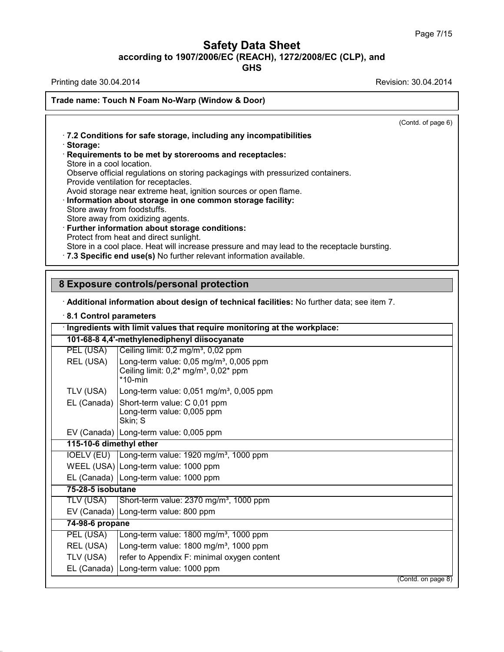**GHS**

Printing date 30.04.2014 **Revision: 30.04.2014** 

38.0.33

|                             | (Contd. of page 6)                                                                          |
|-----------------------------|---------------------------------------------------------------------------------------------|
|                             | .7.2 Conditions for safe storage, including any incompatibilities                           |
| · Storage:                  |                                                                                             |
| Store in a cool location.   | Requirements to be met by storerooms and receptacles:                                       |
|                             | Observe official regulations on storing packagings with pressurized containers.             |
|                             | Provide ventilation for receptacles.                                                        |
|                             | Avoid storage near extreme heat, ignition sources or open flame.                            |
| Store away from foodstuffs. | · Information about storage in one common storage facility:                                 |
|                             | Store away from oxidizing agents.                                                           |
|                             | · Further information about storage conditions:                                             |
|                             | Protect from heat and direct sunlight.                                                      |
|                             | Store in a cool place. Heat will increase pressure and may lead to the receptacle bursting. |
|                             | .7.3 Specific end use(s) No further relevant information available.                         |
|                             | 8 Exposure controls/personal protection                                                     |
|                             | · Additional information about design of technical facilities: No further data; see item 7. |
| 8.1 Control parameters      |                                                                                             |
|                             | · Ingredients with limit values that require monitoring at the workplace:                   |
|                             | 101-68-8 4,4'-methylenediphenyl diisocyanate                                                |
| PEL (USA)                   | Ceiling limit: 0,2 mg/m <sup>3</sup> , 0,02 ppm                                             |
| REL (USA)                   | Long-term value: $0.05$ mg/m <sup>3</sup> , $0.005$ ppm                                     |
|                             | Ceiling limit: $0.2^*$ mg/m <sup>3</sup> , $0.02^*$ ppm<br>$*10$ -min                       |
| TLV (USA)                   | Long-term value: $0,051$ mg/m <sup>3</sup> , $0,005$ ppm                                    |
|                             | Short-term value: C 0,01 ppm                                                                |
| EL (Canada)                 |                                                                                             |
|                             | Long-term value: 0,005 ppm                                                                  |
|                             | Skin; S                                                                                     |
|                             | EV (Canada) Long-term value: 0,005 ppm                                                      |
| 115-10-6 dimethyl ether     |                                                                                             |
| <b>IOELV (EU)</b>           | Long-term value: 1920 mg/m <sup>3</sup> , 1000 ppm                                          |
|                             | WEEL (USA) Long-term value: 1000 ppm                                                        |
|                             | EL (Canada) Long-term value: 1000 ppm                                                       |
| 75-28-5 isobutane           |                                                                                             |
| <b>TLV (USA)</b>            | Short-term value: 2370 mg/m <sup>3</sup> , 1000 ppm                                         |
|                             | EV (Canada) Long-term value: 800 ppm                                                        |
| 74-98-6 propane             |                                                                                             |
| PEL (USA)                   | Long-term value: 1800 mg/m <sup>3</sup> , 1000 ppm                                          |
| REL (USA)                   | Long-term value: 1800 mg/m <sup>3</sup> , 1000 ppm                                          |
| TLV (USA)<br>EL (Canada)    | refer to Appendix F: minimal oxygen content<br>Long-term value: 1000 ppm                    |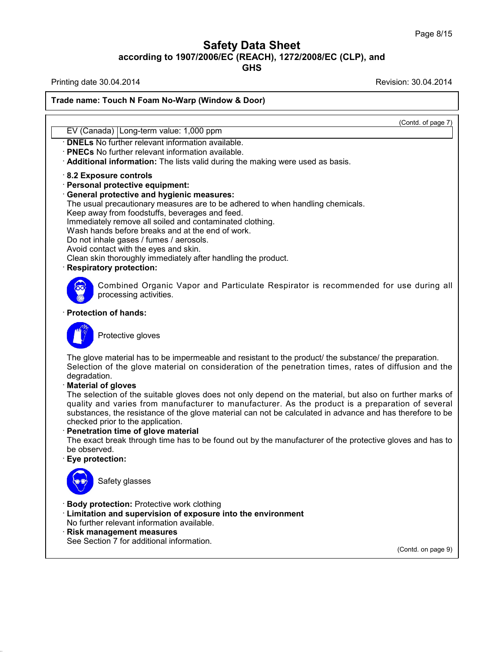Printing date 30.04.2014 **Revision: 30.04.2014** 

38.0.33

|                                                                                                           | (Contd. of page 7) |
|-----------------------------------------------------------------------------------------------------------|--------------------|
| EV (Canada) Long-term value: 1,000 ppm                                                                    |                    |
| <b>DNELs</b> No further relevant information available.                                                   |                    |
| <b>PNECs</b> No further relevant information available.                                                   |                    |
| Additional information: The lists valid during the making were used as basis.                             |                    |
| 8.2 Exposure controls                                                                                     |                    |
| Personal protective equipment:                                                                            |                    |
| <b>General protective and hygienic measures:</b>                                                          |                    |
| The usual precautionary measures are to be adhered to when handling chemicals.                            |                    |
| Keep away from foodstuffs, beverages and feed.                                                            |                    |
| Immediately remove all soiled and contaminated clothing.                                                  |                    |
| Wash hands before breaks and at the end of work.                                                          |                    |
| Do not inhale gases / fumes / aerosols.                                                                   |                    |
| Avoid contact with the eyes and skin.                                                                     |                    |
| Clean skin thoroughly immediately after handling the product.                                             |                    |
| <b>Respiratory protection:</b>                                                                            |                    |
| Combined Organic Vapor and Particulate Respirator is recommended for use during all                       |                    |
| processing activities.                                                                                    |                    |
|                                                                                                           |                    |
| <b>Protection of hands:</b>                                                                               |                    |
|                                                                                                           |                    |
| Protective gloves                                                                                         |                    |
|                                                                                                           |                    |
| The glove material has to be impermeable and resistant to the product/ the substance/ the preparation.    |                    |
| Selection of the glove material on consideration of the penetration times, rates of diffusion and the     |                    |
| degradation.                                                                                              |                    |
| <b>Material of gloves</b>                                                                                 |                    |
| The selection of the suitable gloves does not only depend on the material, but also on further marks of   |                    |
| quality and varies from manufacturer to manufacturer. As the product is a preparation of several          |                    |
| substances, the resistance of the glove material can not be calculated in advance and has therefore to be |                    |
| checked prior to the application.                                                                         |                    |
| Penetration time of glove material                                                                        |                    |
| The exact break through time has to be found out by the manufacturer of the protective gloves and has to  |                    |
| be observed.                                                                                              |                    |
| Eye protection:                                                                                           |                    |
|                                                                                                           |                    |
| Safety glasses<br>$\cup$ .                                                                                |                    |
| <b>Body protection: Protective work clothing</b>                                                          |                    |
| · Limitation and supervision of exposure into the environment                                             |                    |
| No further relevant information available.                                                                |                    |
| <b>Risk management measures</b>                                                                           |                    |
| See Section 7 for additional information.                                                                 |                    |
|                                                                                                           |                    |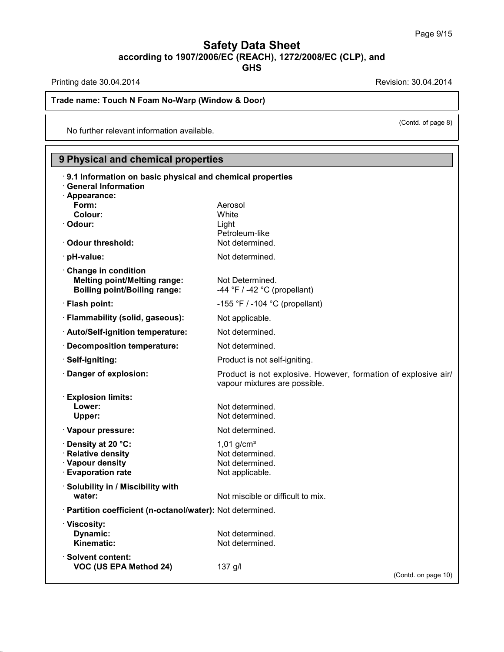Printing date 30.04.2014 **Revision: 30.04.2014** 

38.0.33

**Trade name: Touch N Foam No-Warp (Window & Door)**

No further relevant information available.

## **9 Physical and chemical properties**

| 9.1 Information on basic physical and chemical properties<br><b>General Information</b>           |                                                                                                 |
|---------------------------------------------------------------------------------------------------|-------------------------------------------------------------------------------------------------|
| · Appearance:                                                                                     |                                                                                                 |
| Form:                                                                                             | Aerosol                                                                                         |
| Colour:<br>· Odour:                                                                               | White<br>Light                                                                                  |
|                                                                                                   | Petroleum-like                                                                                  |
| Odour threshold:                                                                                  | Not determined.                                                                                 |
| · pH-value:                                                                                       | Not determined.                                                                                 |
| Change in condition<br><b>Melting point/Melting range:</b><br><b>Boiling point/Boiling range:</b> | Not Determined.<br>-44 $\degree$ F / -42 $\degree$ C (propellant)                               |
| · Flash point:                                                                                    | -155 $\degree$ F / -104 $\degree$ C (propellant)                                                |
| · Flammability (solid, gaseous):                                                                  | Not applicable.                                                                                 |
| · Auto/Self-ignition temperature:                                                                 | Not determined.                                                                                 |
| · Decomposition temperature:                                                                      | Not determined.                                                                                 |
| · Self-igniting:                                                                                  | Product is not self-igniting.                                                                   |
| Danger of explosion:                                                                              | Product is not explosive. However, formation of explosive air/<br>vapour mixtures are possible. |
| <b>Explosion limits:</b>                                                                          |                                                                                                 |
| Lower:                                                                                            | Not determined.                                                                                 |
| Upper:                                                                                            | Not determined.                                                                                 |
| · Vapour pressure:                                                                                | Not determined.                                                                                 |
| <b>⋅Density at 20 °C:</b>                                                                         | $1,01$ g/cm <sup>3</sup>                                                                        |
| · Relative density                                                                                | Not determined.                                                                                 |
| · Vapour density<br><b>Evaporation rate</b>                                                       | Not determined.<br>Not applicable.                                                              |
| Solubility in / Miscibility with                                                                  |                                                                                                 |
| water:                                                                                            | Not miscible or difficult to mix.                                                               |
| · Partition coefficient (n-octanol/water): Not determined.                                        |                                                                                                 |
| · Viscosity:                                                                                      |                                                                                                 |
| Dynamic:                                                                                          | Not determined.                                                                                 |
| Kinematic:                                                                                        | Not determined.                                                                                 |
| $\cdot$ Solvent content:                                                                          |                                                                                                 |
| <b>VOC (US EPA Method 24)</b>                                                                     | 137 g/l<br>(Contd. on page 10)                                                                  |
|                                                                                                   |                                                                                                 |

(Contd. of page 8)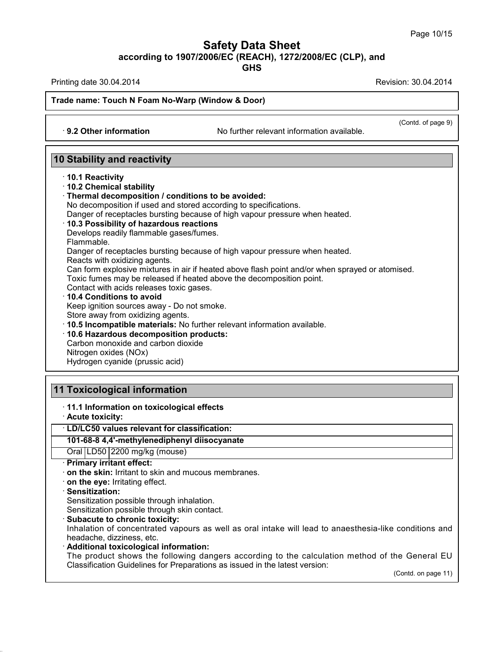**GHS**

Printing date 30.04.2014 **Revision: 30.04.2014** Revision: 30.04.2014

(Contd. of page 9)

**Trade name: Touch N Foam No-Warp (Window & Door)**

· **9.2 Other information** No further relevant information available.

## **10 Stability and reactivity**

· **10.1 Reactivity**

#### · **10.2 Chemical stability**

#### · **Thermal decomposition / conditions to be avoided:**

No decomposition if used and stored according to specifications.

Danger of receptacles bursting because of high vapour pressure when heated.

#### · **10.3 Possibility of hazardous reactions**

Develops readily flammable gases/fumes.

Flammable.

Danger of receptacles bursting because of high vapour pressure when heated.

Reacts with oxidizing agents.

Can form explosive mixtures in air if heated above flash point and/or when sprayed or atomised.

Toxic fumes may be released if heated above the decomposition point.

Contact with acids releases toxic gases.

· **10.4 Conditions to avoid**

Keep ignition sources away - Do not smoke.

Store away from oxidizing agents.

· **10.5 Incompatible materials:** No further relevant information available.

#### · **10.6 Hazardous decomposition products:**

Carbon monoxide and carbon dioxide Nitrogen oxides (NOx) Hydrogen cyanide (prussic acid)

## **11 Toxicological information**

#### · **11.1 Information on toxicological effects**

· **Acute toxicity:**

#### · **LD/LC50 values relevant for classification:**

#### **101-68-8 4,4'-methylenediphenyl diisocyanate**

Oral LD50 2200 mg/kg (mouse)

· **Primary irritant effect:**

· **on the skin:** Irritant to skin and mucous membranes.

· **on the eye:** Irritating effect.

#### · **Sensitization:**

38.0.33

Sensitization possible through inhalation.

Sensitization possible through skin contact.

· **Subacute to chronic toxicity:**

Inhalation of concentrated vapours as well as oral intake will lead to anaesthesia-like conditions and headache, dizziness, etc.

· **Additional toxicological information:**

The product shows the following dangers according to the calculation method of the General EU Classification Guidelines for Preparations as issued in the latest version:

(Contd. on page 11)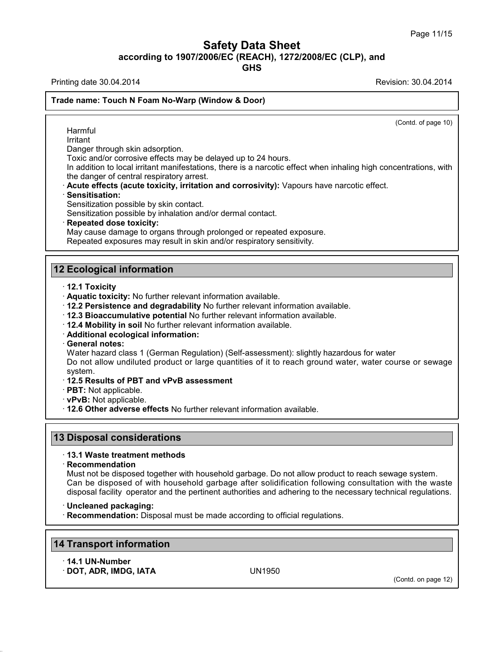Printing date 30.04.2014 **Revision: 30.04.2014** Revision: 30.04.2014

38.0.33

(Contd. on page 12)

#### **Trade name: Touch N Foam No-Warp (Window & Door)**

(Contd. of page 10) Harmful Irritant Danger through skin adsorption. Toxic and/or corrosive effects may be delayed up to 24 hours. In addition to local irritant manifestations, there is a narcotic effect when inhaling high concentrations, with the danger of central respiratory arrest. · **Acute effects (acute toxicity, irritation and corrosivity):** Vapours have narcotic effect. · **Sensitisation:** Sensitization possible by skin contact. Sensitization possible by inhalation and/or dermal contact. · **Repeated dose toxicity:** May cause damage to organs through prolonged or repeated exposure. Repeated exposures may result in skin and/or respiratory sensitivity. **12 Ecological information** · **12.1 Toxicity** · **Aquatic toxicity:** No further relevant information available. · **12.2 Persistence and degradability** No further relevant information available. · **12.3 Bioaccumulative potential** No further relevant information available. · **12.4 Mobility in soil** No further relevant information available. · **Additional ecological information:** · **General notes:** Water hazard class 1 (German Regulation) (Self-assessment): slightly hazardous for water Do not allow undiluted product or large quantities of it to reach ground water, water course or sewage system. · **12.5 Results of PBT and vPvB assessment** · **PBT:** Not applicable. · **vPvB:** Not applicable. · **12.6 Other adverse effects** No further relevant information available. **13 Disposal considerations** · **13.1 Waste treatment methods** · **Recommendation** Must not be disposed together with household garbage. Do not allow product to reach sewage system. Can be disposed of with household garbage after solidification following consultation with the waste disposal facility operator and the pertinent authorities and adhering to the necessary technical regulations. · **Uncleaned packaging:** · **Recommendation:** Disposal must be made according to official regulations. **14 Transport information** · **14.1 UN-Number** · **DOT, ADR, IMDG, IATA** UN1950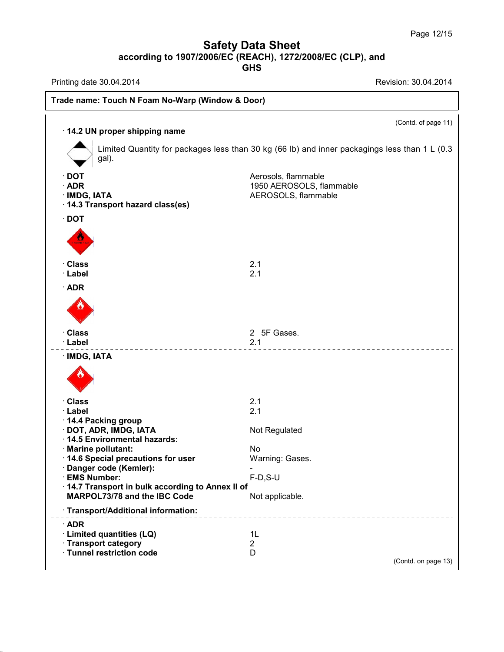Printing date 30.04.2014 **Revision: 30.04.2014** 

38.0.33

| 14.2 UN proper shipping name                                                                  | (Contd. of page 11)                                                                           |
|-----------------------------------------------------------------------------------------------|-----------------------------------------------------------------------------------------------|
| gal).                                                                                         | Limited Quantity for packages less than 30 kg (66 lb) and inner packagings less than 1 L (0.3 |
| $\cdot$ DOT<br>$\cdot$ ADR<br>· IMDG, IATA<br>14.3 Transport hazard class(es)                 | Aerosols, flammable<br>1950 AEROSOLS, flammable<br>AEROSOLS, flammable                        |
| $\cdot$ DOT                                                                                   |                                                                                               |
| · Class<br>· Label                                                                            | 2.1<br>2.1                                                                                    |
| $\cdot$ ADR                                                                                   |                                                                                               |
| · Class<br>· Label                                                                            | 2 5F Gases.<br>2.1                                                                            |
| · IMDG, IATA                                                                                  |                                                                                               |
| · Class                                                                                       | 2.1                                                                                           |
| · Label<br>14.4 Packing group<br>· DOT, ADR, IMDG, IATA<br>14.5 Environmental hazards:        | 2.1<br>Not Regulated                                                                          |
| · Marine pollutant:<br>14.6 Special precautions for user                                      | <b>No</b><br>Warning: Gases.                                                                  |
| Danger code (Kemler):<br>· EMS Number:                                                        | $F-D, S-U$                                                                                    |
| 14.7 Transport in bulk according to Annex II of<br>MARPOL73/78 and the IBC Code               | Not applicable.                                                                               |
| · Transport/Additional information:                                                           | ____________________________                                                                  |
| $\cdot$ ADR<br>· Limited quantities (LQ)<br>· Transport category<br>· Tunnel restriction code | 1L<br>$\overline{c}$<br>D<br>(Contd. on page 13)                                              |
|                                                                                               |                                                                                               |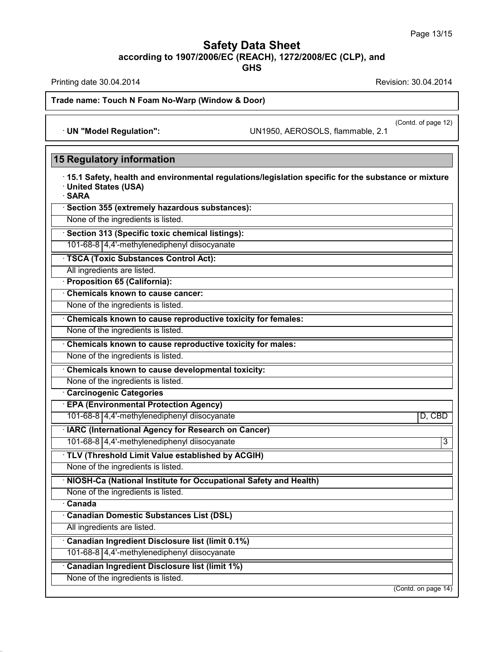**GHS**

Printing date 30.04.2014 **Revision: 30.04.2014** 

38.0.33

**Trade name: Touch N Foam No-Warp (Window & Door)**

· **UN "Model Regulation":** UN1950, AEROSOLS, flammable, 2.1

(Contd. of page 12)

| <b>15 Regulatory information</b>                                                                                                       |                     |
|----------------------------------------------------------------------------------------------------------------------------------------|---------------------|
| 15.1 Safety, health and environmental regulations/legislation specific for the substance or mixture<br>· United States (USA)<br>· SARA |                     |
| · Section 355 (extremely hazardous substances):                                                                                        |                     |
| None of the ingredients is listed.                                                                                                     |                     |
| · Section 313 (Specific toxic chemical listings):                                                                                      |                     |
| 101-68-8 4,4'-methylenediphenyl diisocyanate                                                                                           |                     |
| · TSCA (Toxic Substances Control Act):                                                                                                 |                     |
| All ingredients are listed.                                                                                                            |                     |
| <b>Proposition 65 (California):</b>                                                                                                    |                     |
| Chemicals known to cause cancer:                                                                                                       |                     |
| None of the ingredients is listed.                                                                                                     |                     |
| Chemicals known to cause reproductive toxicity for females:                                                                            |                     |
| None of the ingredients is listed.                                                                                                     |                     |
| Chemicals known to cause reproductive toxicity for males:                                                                              |                     |
| None of the ingredients is listed.                                                                                                     |                     |
| Chemicals known to cause developmental toxicity:                                                                                       |                     |
| None of the ingredients is listed.                                                                                                     |                     |
| <b>Carcinogenic Categories</b>                                                                                                         |                     |
| <b>EPA (Environmental Protection Agency)</b>                                                                                           |                     |
| 101-68-8 4,4'-methylenediphenyl diisocyanate                                                                                           | D, CBD              |
| <b>IARC (International Agency for Research on Cancer)</b>                                                                              |                     |
| 101-68-8 4,4'-methylenediphenyl diisocyanate                                                                                           | $\overline{3}$      |
| TLV (Threshold Limit Value established by ACGIH)                                                                                       |                     |
| None of the ingredients is listed.                                                                                                     |                     |
| · NIOSH-Ca (National Institute for Occupational Safety and Health)                                                                     |                     |
| None of the ingredients is listed.                                                                                                     |                     |
| $\overline{\cdot}$ Canada                                                                                                              |                     |
| Canadian Domestic Substances List (DSL)                                                                                                |                     |
| All ingredients are listed.                                                                                                            |                     |
| Canadian Ingredient Disclosure list (limit 0.1%)                                                                                       |                     |
| 101-68-8 4,4'-methylenediphenyl diisocyanate                                                                                           |                     |
| Canadian Ingredient Disclosure list (limit 1%)                                                                                         |                     |
| None of the ingredients is listed.                                                                                                     |                     |
|                                                                                                                                        | (Contd. on page 14) |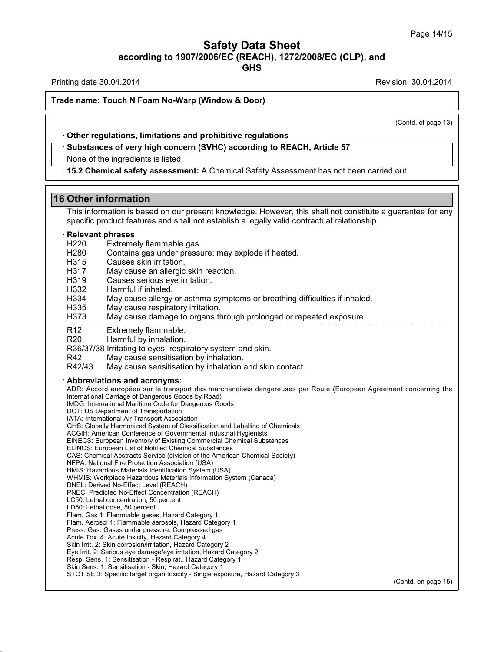Printing date 30.04.2014 **Revision: 30.04.2014** Revision: 30.04.2014

#### **Trade name: Touch N Foam No-Warp (Window & Door)**

(Contd. of page 13)

#### · **Other regulations, limitations and prohibitive regulations**

· **Substances of very high concern (SVHC) according to REACH, Article 57**

None of the ingredients is listed.

· **15.2 Chemical safety assessment:** A Chemical Safety Assessment has not been carried out.

#### **16 Other information**

This information is based on our present knowledge. However, this shall not constitute a guarantee for any specific product features and shall not establish a legally valid contractual relationship.

# · **Relevant phrases**

H220 Extremely flammable gas.<br>H280 Contains gas under pressi

- H280 Contains gas under pressure; may explode if heated.<br>H315 Causes skin irritation.
- Causes skin irritation.
- H317 May cause an allergic skin reaction.<br>H319 Causes serious eve irritation.
- Causes serious eye irritation.
- 
- H<sub>332</sub> Harmful if inhaled.<br>H<sub>334</sub> May cause allergy May cause allergy or asthma symptoms or breathing difficulties if inhaled.
- H335 May cause respiratory irritation.
- H373 May cause damage to organs through prolonged or repeated exposure.
- R12 Extremely flammable.
- R20 Harmful by inhalation.
- R36/37/38 Irritating to eyes, respiratory system and skin.
- 
- R42 May cause sensitisation by inhalation.<br>R42/43 May cause sensitisation by inhalation a May cause sensitisation by inhalation and skin contact.

#### · **Abbreviations and acronyms:**

38.0.33

ADR: Accord européen sur le transport des marchandises dangereuses par Route (European Agreement concerning the International Carriage of Dangerous Goods by Road) IMDG: International Maritime Code for Dangerous Goods DOT: US Department of Transportation IATA: International Air Transport Association GHS: Globally Harmonized System of Classification and Labelling of Chemicals ACGIH: American Conference of Governmental Industrial Hygienists EINECS: European Inventory of Existing Commercial Chemical Substances ELINCS: European List of Notified Chemical Substances CAS: Chemical Abstracts Service (division of the American Chemical Society) NFPA: National Fire Protection Association (USA) HMIS: Hazardous Materials Identification System (USA) WHMIS: Workplace Hazardous Materials Information System (Canada) DNEL: Derived No-Effect Level (REACH) PNEC: Predicted No-Effect Concentration (REACH) LC50: Lethal concentration, 50 percent LD50: Lethal dose, 50 percent Flam. Gas 1: Flammable gases, Hazard Category 1 Flam. Aerosol 1: Flammable aerosols, Hazard Category 1 Press. Gas: Gases under pressure: Compressed gas Acute Tox. 4: Acute toxicity, Hazard Category 4 Skin Irrit. 2: Skin corrosion/irritation, Hazard Category 2 Eye Irrit.2: Serious eye damage/eye irritation, Hazard Category 2 Resp. Sens. 1: Sensitisation - Respirat., Hazard Category 1 Skin Sens. 1: Sensitisation - Skin, Hazard Category 1 STOT SE 3: Specific target organ toxicity - Single exposure, Hazard Category 3

(Contd. on page 15)